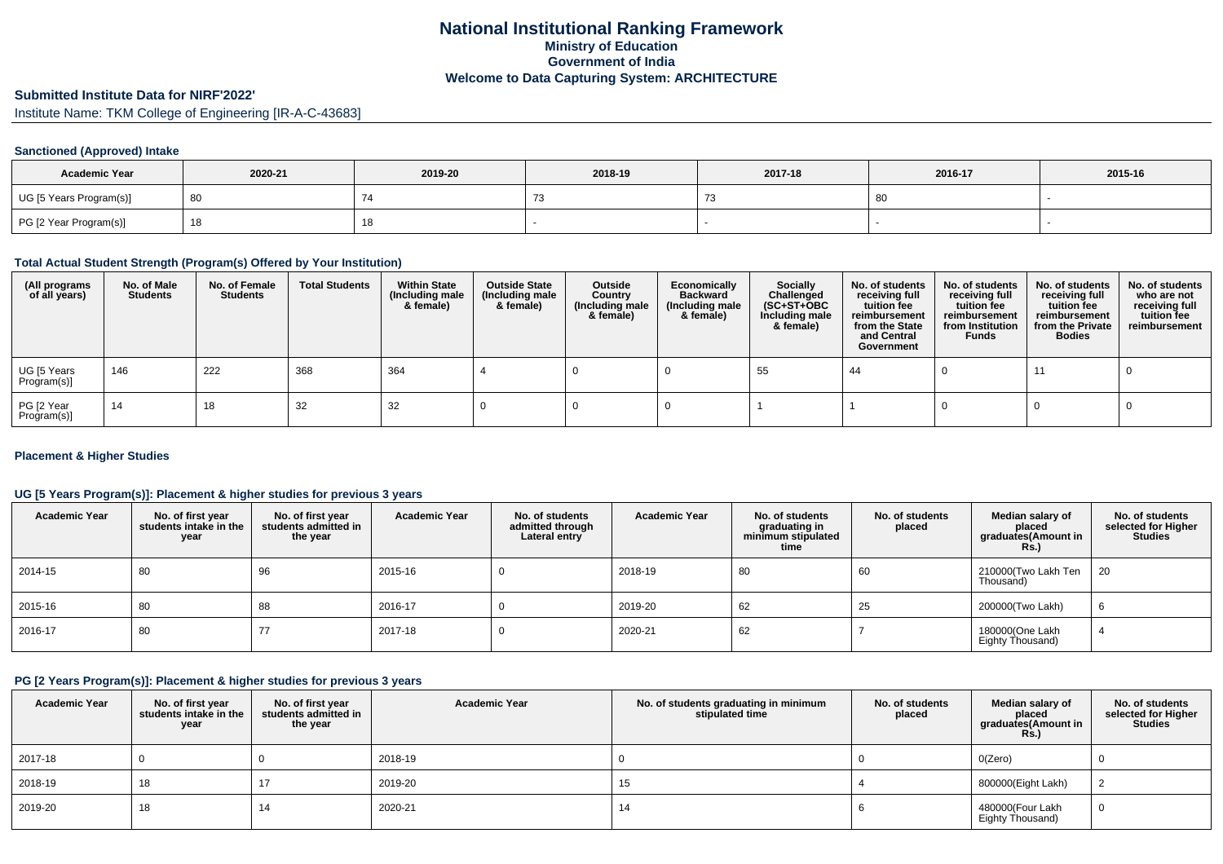## **National Institutional Ranking FrameworkMinistry of Education Government of IndiaWelcome to Data Capturing System: ARCHITECTURE**

# **Submitted Institute Data for NIRF'2022'**

Institute Name: TKM College of Engineering [IR-A-C-43683]

### **Sanctioned (Approved) Intake**

| <b>Academic Year</b>    | 2020-21 | 2019-20 | 2018-19 | 2017-18 | 2016-17 | 2015-16 |
|-------------------------|---------|---------|---------|---------|---------|---------|
| UG [5 Years Program(s)] |         |         |         |         | 80      |         |
| PG [2 Year Program(s)]  |         | 10      |         |         |         |         |

### **Total Actual Student Strength (Program(s) Offered by Your Institution)**

| (All programs<br>of all years) | No. of Male<br><b>Students</b> | No. of Female<br>Students | <b>Total Students</b> | <b>Within State</b><br>(Including male<br>& female) | <b>Outside State</b><br>(Including male<br>& female) | Outside<br>Country<br>(Including male<br>& female) | Economically<br><b>Backward</b><br>(Including male<br>& female) | <b>Socially</b><br>Challenged<br>$(SC+ST+OBC)$<br>Including male<br>& female) | No. of students<br>receiving full<br>tuition fee<br>reimbursement<br>from the State<br>and Central<br>Government | No. of students<br>receiving full<br>tuition fee<br>reimbursement<br>from Institution<br><b>Funds</b> | No. of students<br>receiving full<br>tuition fee<br>reimbursement<br>from the Private<br><b>Bodies</b> | No. of students<br>who are not<br>receiving full<br>tuition fee<br>reimbursement |
|--------------------------------|--------------------------------|---------------------------|-----------------------|-----------------------------------------------------|------------------------------------------------------|----------------------------------------------------|-----------------------------------------------------------------|-------------------------------------------------------------------------------|------------------------------------------------------------------------------------------------------------------|-------------------------------------------------------------------------------------------------------|--------------------------------------------------------------------------------------------------------|----------------------------------------------------------------------------------|
| UG [5 Years<br>Program(s)]     | 146                            | 222                       | 368                   | 364                                                 |                                                      |                                                    |                                                                 | 55                                                                            | -44                                                                                                              |                                                                                                       | 11                                                                                                     |                                                                                  |
| PG [2 Year<br>Program(s)]      | 14                             | 18                        | 32                    | 32                                                  |                                                      |                                                    |                                                                 |                                                                               |                                                                                                                  |                                                                                                       |                                                                                                        |                                                                                  |

### **Placement & Higher Studies**

### **UG [5 Years Program(s)]: Placement & higher studies for previous 3 years**

| <b>Academic Year</b> | No. of first year<br>students intake in the<br>year | No. of first vear<br>students admitted in<br>the year | <b>Academic Year</b> | No. of students<br>admitted through<br>Lateral entry | <b>Academic Year</b> | No. of students<br>graduating in<br>minimum stipulated<br>time | No. of students<br>placed | Median salary of<br>placed<br>graduates(Amount in<br>Rs. | No. of students<br>selected for Higher<br><b>Studies</b> |
|----------------------|-----------------------------------------------------|-------------------------------------------------------|----------------------|------------------------------------------------------|----------------------|----------------------------------------------------------------|---------------------------|----------------------------------------------------------|----------------------------------------------------------|
| 2014-15              | 80                                                  | 96                                                    | 2015-16              |                                                      | 2018-19              | 80                                                             | 60                        | 210000(Two Lakh Ten<br>Thousand)                         | 20                                                       |
| 2015-16              | 80                                                  | 88                                                    | 2016-17              |                                                      | 2019-20              | 62                                                             | 25                        | 200000(Two Lakh)                                         | 6                                                        |
| 2016-17              | 80                                                  | 77                                                    | 2017-18              |                                                      | 2020-21              | 62                                                             |                           | 180000(One Lakh<br>Eighty Thousand)                      |                                                          |

### **PG [2 Years Program(s)]: Placement & higher studies for previous 3 years**

| <b>Academic Year</b> | No. of first year<br>students intake in the<br>year | No. of first vear<br>students admitted in<br>the year | <b>Academic Year</b> | No. of students graduating in minimum<br>stipulated time | No. of students<br>placed | Median salary of<br>placed<br>graduates(Amount in<br><b>Rs.)</b> | No. of students<br>selected for Higher<br><b>Studies</b> |
|----------------------|-----------------------------------------------------|-------------------------------------------------------|----------------------|----------------------------------------------------------|---------------------------|------------------------------------------------------------------|----------------------------------------------------------|
| 2017-18              |                                                     |                                                       | 2018-19              |                                                          |                           | O(Zero)                                                          |                                                          |
| 2018-19              | 18                                                  |                                                       | 2019-20              | 15                                                       |                           | 800000(Eight Lakh)                                               |                                                          |
| 2019-20              | 18                                                  |                                                       | 2020-21              | 14                                                       |                           | 480000(Four Lakh<br>Eighty Thousand)                             | U                                                        |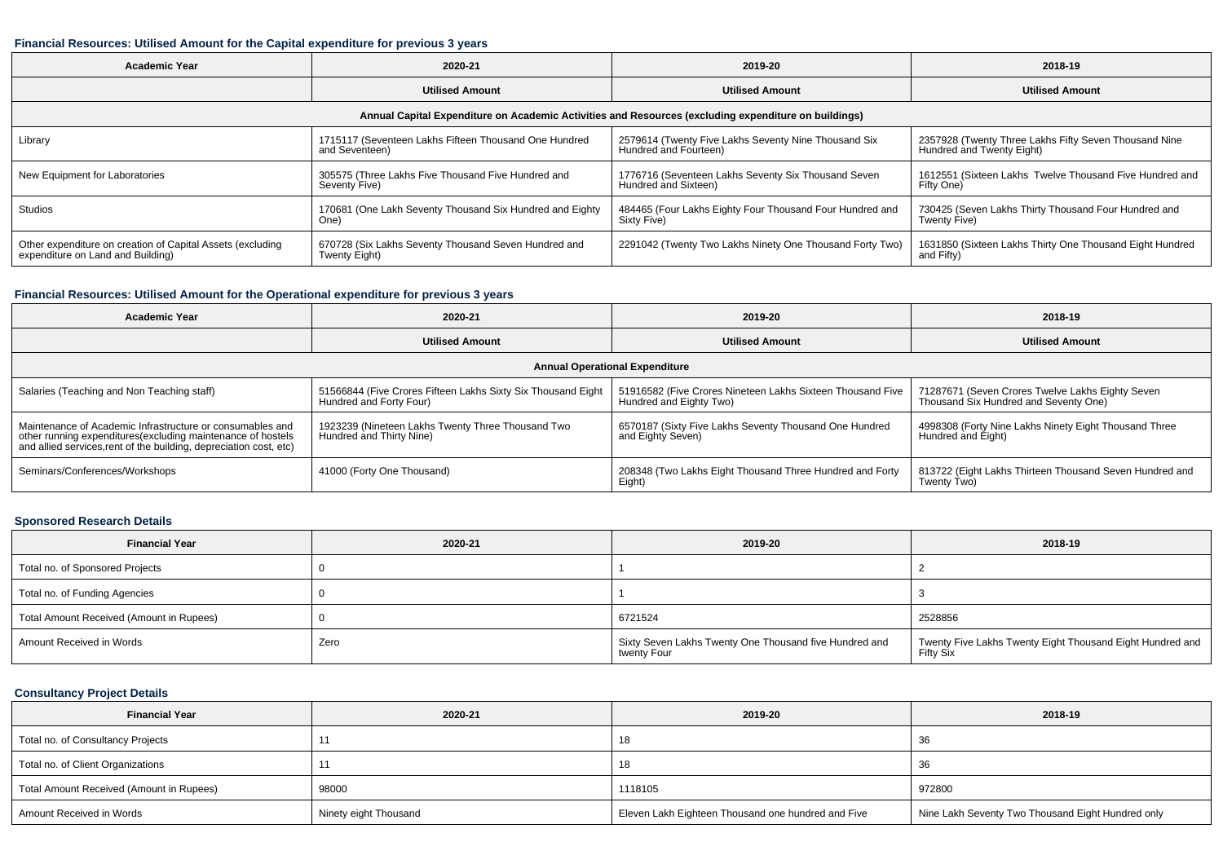#### **Financial Resources: Utilised Amount for the Capital expenditure for previous 3 years**

| <b>Academic Year</b>                                       | 2020-21                                                                                              |                                                          | 2018-19                                                  |  |
|------------------------------------------------------------|------------------------------------------------------------------------------------------------------|----------------------------------------------------------|----------------------------------------------------------|--|
|                                                            | <b>Utilised Amount</b>                                                                               | <b>Utilised Amount</b>                                   | <b>Utilised Amount</b>                                   |  |
|                                                            | Annual Capital Expenditure on Academic Activities and Resources (excluding expenditure on buildings) |                                                          |                                                          |  |
| Library                                                    | 1715117 (Seventeen Lakhs Fifteen Thousand One Hundred                                                | 2579614 (Twenty Five Lakhs Seventy Nine Thousand Six     | 2357928 (Twenty Three Lakhs Fifty Seven Thousand Nine    |  |
|                                                            | and Seventeen)                                                                                       | Hundred and Fourteen)                                    | Hundred and Twenty Eight)                                |  |
| New Equipment for Laboratories                             | 305575 (Three Lakhs Five Thousand Five Hundred and                                                   | 1776716 (Seventeen Lakhs Seventy Six Thousand Seven      | 1612551 (Sixteen Lakhs Twelve Thousand Five Hundred and  |  |
|                                                            | Seventy Five)                                                                                        | Hundred and Sixteen)                                     | Fifty One)                                               |  |
| Studios                                                    | 170681 (One Lakh Seventy Thousand Six Hundred and Eighty                                             | 484465 (Four Lakhs Eighty Four Thousand Four Hundred and | 730425 (Seven Lakhs Thirty Thousand Four Hundred and     |  |
|                                                            | One)                                                                                                 | Sixty Five)                                              | Twenty Five)                                             |  |
| Other expenditure on creation of Capital Assets (excluding | 670728 (Six Lakhs Seventy Thousand Seven Hundred and                                                 | 2291042 (Twenty Two Lakhs Ninety One Thousand Forty Two) | 1631850 (Sixteen Lakhs Thirty One Thousand Eight Hundred |  |
| expenditure on Land and Building)                          | Twenty Eight)                                                                                        |                                                          | and Fifty)                                               |  |

### **Financial Resources: Utilised Amount for the Operational expenditure for previous 3 years**

| Academic Year                                                                                                                                                                                   | 2020-21                                                                                 | 2019-20                                                                               | 2018-19                                                                                   |  |  |  |  |  |  |  |
|-------------------------------------------------------------------------------------------------------------------------------------------------------------------------------------------------|-----------------------------------------------------------------------------------------|---------------------------------------------------------------------------------------|-------------------------------------------------------------------------------------------|--|--|--|--|--|--|--|
|                                                                                                                                                                                                 | <b>Utilised Amount</b>                                                                  | <b>Utilised Amount</b>                                                                | <b>Utilised Amount</b>                                                                    |  |  |  |  |  |  |  |
| <b>Annual Operational Expenditure</b>                                                                                                                                                           |                                                                                         |                                                                                       |                                                                                           |  |  |  |  |  |  |  |
| Salaries (Teaching and Non Teaching staff)                                                                                                                                                      | 51566844 (Five Crores Fifteen Lakhs Sixty Six Thousand Eight<br>Hundred and Forty Four) | 51916582 (Five Crores Nineteen Lakhs Sixteen Thousand Five<br>Hundred and Eighty Two) | 71287671 (Seven Crores Twelve Lakhs Eighty Seven<br>Thousand Six Hundred and Seventy One) |  |  |  |  |  |  |  |
| Maintenance of Academic Infrastructure or consumables and<br>other running expenditures (excluding maintenance of hostels<br>and allied services, rent of the building, depreciation cost, etc) | 1923239 (Nineteen Lakhs Twenty Three Thousand Two<br>Hundred and Thirty Nine)           | 6570187 (Sixty Five Lakhs Seventy Thousand One Hundred<br>and Eighty Seven)           | 4998308 (Forty Nine Lakhs Ninety Eight Thousand Three<br>Hundred and Eight)               |  |  |  |  |  |  |  |
| Seminars/Conferences/Workshops                                                                                                                                                                  | 41000 (Forty One Thousand)                                                              | 208348 (Two Lakhs Eight Thousand Three Hundred and Forty<br>Eight)                    | 813722 (Eight Lakhs Thirteen Thousand Seven Hundred and<br>Twenty Two)                    |  |  |  |  |  |  |  |

### **Sponsored Research Details**

| <b>Financial Year</b>                    | 2020-21 | 2019-20                                                               | 2018-19                                                                |
|------------------------------------------|---------|-----------------------------------------------------------------------|------------------------------------------------------------------------|
| Total no. of Sponsored Projects          |         |                                                                       |                                                                        |
| Total no. of Funding Agencies            |         |                                                                       |                                                                        |
| Total Amount Received (Amount in Rupees) |         | 6721524                                                               | 2528856                                                                |
| Amount Received in Words                 | Zero    | Sixty Seven Lakhs Twenty One Thousand five Hundred and<br>twenty Four | Twenty Five Lakhs Twenty Eight Thousand Eight Hundred and<br>Fifty Six |

### **Consultancy Project Details**

| <b>Financial Year</b>                    | 2020-21               | 2019-20                                            | 2018-19                                           |
|------------------------------------------|-----------------------|----------------------------------------------------|---------------------------------------------------|
| Total no. of Consultancy Projects        |                       |                                                    | 36                                                |
| Total no. of Client Organizations        |                       | 10                                                 | 36                                                |
| Total Amount Received (Amount in Rupees) | 98000                 | 1118105                                            | 972800                                            |
| Amount Received in Words                 | Ninety eight Thousand | Eleven Lakh Eighteen Thousand one hundred and Five | Nine Lakh Seventy Two Thousand Eight Hundred only |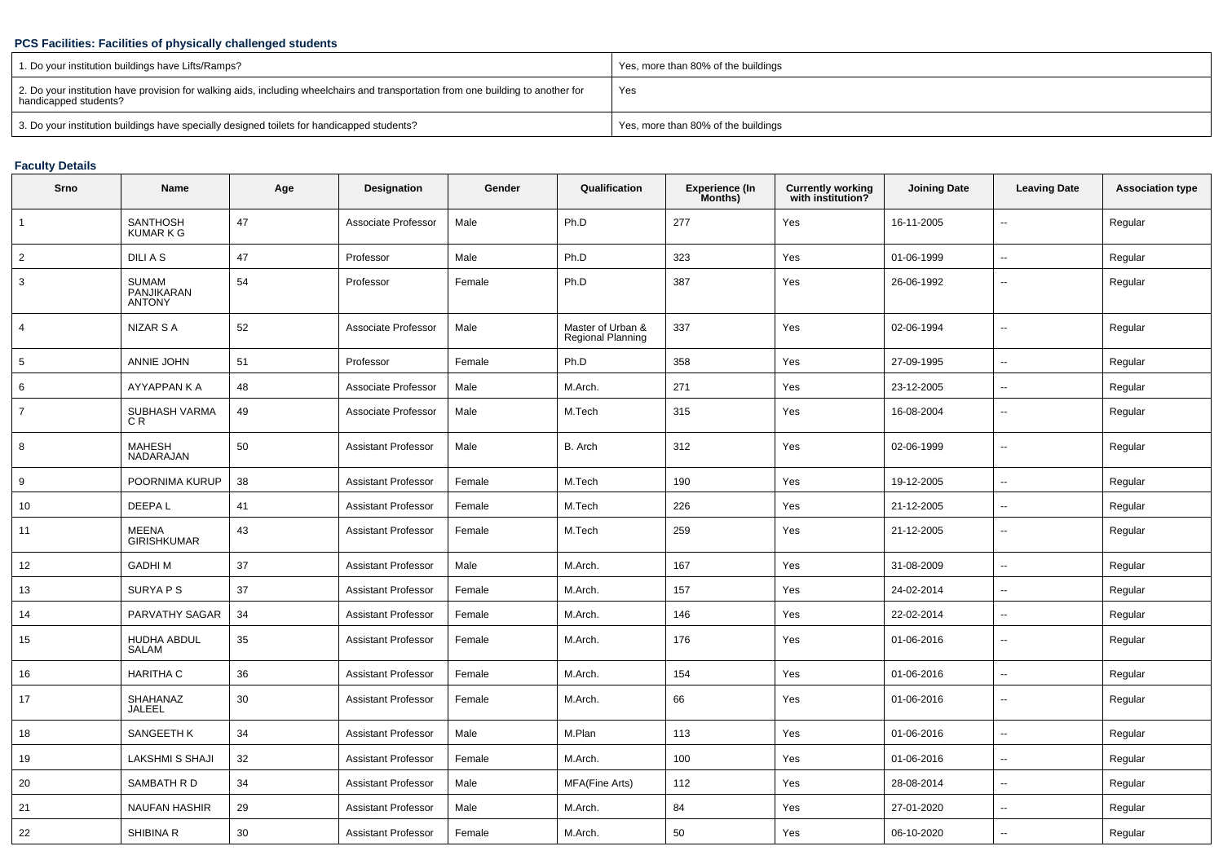### **PCS Facilities: Facilities of physically challenged students**

| 1. Do your institution buildings have Lifts/Ramps?                                                                                                         | Yes, more than 80% of the buildings |
|------------------------------------------------------------------------------------------------------------------------------------------------------------|-------------------------------------|
| 2. Do your institution have provision for walking aids, including wheelchairs and transportation from one building to another for<br>handicapped students? | Yes                                 |
| 3. Do your institution buildings have specially designed toilets for handicapped students?                                                                 | Yes, more than 80% of the buildings |

## **Faculty Details**

| Srno            | Name                                        | Age | Designation                | Gender | Qualification                          | <b>Experience (In</b><br>Months) | <b>Currently working</b><br>with institution? | <b>Joining Date</b> | <b>Leaving Date</b>      | <b>Association type</b> |
|-----------------|---------------------------------------------|-----|----------------------------|--------|----------------------------------------|----------------------------------|-----------------------------------------------|---------------------|--------------------------|-------------------------|
| $\mathbf{1}$    | SANTHOSH<br><b>KUMARKG</b>                  | 47  | Associate Professor        | Male   | Ph.D                                   | 277                              | Yes                                           | 16-11-2005          | $\overline{\phantom{a}}$ | Regular                 |
| $\overline{2}$  | DILI A S                                    | 47  | Professor                  | Male   | Ph.D                                   | 323                              | Yes                                           | 01-06-1999          | $\overline{\phantom{a}}$ | Regular                 |
| 3               | <b>SUMAM</b><br>PANJIKARAN<br><b>ANTONY</b> | 54  | Professor                  | Female | Ph.D                                   | 387                              | Yes                                           | 26-06-1992          | $\mathbf{u}$             | Regular                 |
| $\overline{4}$  | NIZAR S A                                   | 52  | Associate Professor        | Male   | Master of Urban &<br>Regional Planning | 337                              | Yes                                           | 02-06-1994          | $\mathbf{u}$             | Regular                 |
| $5\phantom{.0}$ | ANNIE JOHN                                  | 51  | Professor                  | Female | Ph.D                                   | 358                              | Yes                                           | 27-09-1995          | $\overline{\phantom{a}}$ | Regular                 |
| 6               | AYYAPPAN K A                                | 48  | Associate Professor        | Male   | M.Arch.                                | 271                              | Yes                                           | 23-12-2005          | $\sim$                   | Regular                 |
| $\overline{7}$  | SUBHASH VARMA<br>C R                        | 49  | Associate Professor        | Male   | M.Tech                                 | 315                              | Yes                                           | 16-08-2004          | --                       | Regular                 |
| 8               | <b>MAHESH</b><br><b>NADARAJAN</b>           | 50  | <b>Assistant Professor</b> | Male   | B. Arch                                | 312                              | Yes                                           | 02-06-1999          | --                       | Regular                 |
| 9               | POORNIMA KURUP                              | 38  | <b>Assistant Professor</b> | Female | M.Tech                                 | 190                              | Yes                                           | 19-12-2005          | $\overline{a}$           | Regular                 |
| 10              | DEEPA L                                     | 41  | <b>Assistant Professor</b> | Female | M.Tech                                 | 226                              | Yes                                           | 21-12-2005          | $\overline{\phantom{a}}$ | Regular                 |
| 11              | <b>MEENA</b><br><b>GIRISHKUMAR</b>          | 43  | <b>Assistant Professor</b> | Female | M.Tech                                 | 259                              | Yes                                           | 21-12-2005          | $\overline{\phantom{a}}$ | Regular                 |
| 12              | <b>GADHIM</b>                               | 37  | Assistant Professor        | Male   | M.Arch.                                | 167                              | Yes                                           | 31-08-2009          | $\mathbf{u}$             | Regular                 |
| 13              | SURYA P S                                   | 37  | <b>Assistant Professor</b> | Female | M.Arch.                                | 157                              | Yes                                           | 24-02-2014          | $\sim$                   | Regular                 |
| 14              | PARVATHY SAGAR                              | 34  | <b>Assistant Professor</b> | Female | M.Arch.                                | 146                              | Yes                                           | 22-02-2014          | $\overline{\phantom{a}}$ | Regular                 |
| 15              | HUDHA ABDUL<br>SALAM                        | 35  | <b>Assistant Professor</b> | Female | M.Arch.                                | 176                              | Yes                                           | 01-06-2016          | $\overline{\phantom{a}}$ | Regular                 |
| 16              | <b>HARITHA C</b>                            | 36  | <b>Assistant Professor</b> | Female | M.Arch.                                | 154                              | Yes                                           | 01-06-2016          | $\overline{\phantom{a}}$ | Regular                 |
| 17              | SHAHANAZ<br>JALEEL                          | 30  | <b>Assistant Professor</b> | Female | M.Arch.                                | 66                               | Yes                                           | 01-06-2016          | $\mathbf{u}$             | Regular                 |
| 18              | SANGEETH K                                  | 34  | Assistant Professor        | Male   | M.Plan                                 | 113                              | Yes                                           | 01-06-2016          | $\sim$                   | Regular                 |
| 19              | LAKSHMI S SHAJI                             | 32  | <b>Assistant Professor</b> | Female | M.Arch.                                | 100                              | Yes                                           | 01-06-2016          | --                       | Regular                 |
| 20              | SAMBATH R D                                 | 34  | <b>Assistant Professor</b> | Male   | MFA(Fine Arts)                         | 112                              | Yes                                           | 28-08-2014          |                          | Regular                 |
| 21              | <b>NAUFAN HASHIR</b>                        | 29  | <b>Assistant Professor</b> | Male   | M.Arch.                                | 84                               | Yes                                           | 27-01-2020          | $\sim$                   | Regular                 |
| 22              | <b>SHIBINA R</b>                            | 30  | <b>Assistant Professor</b> | Female | M.Arch.                                | 50                               | Yes                                           | 06-10-2020          |                          | Regular                 |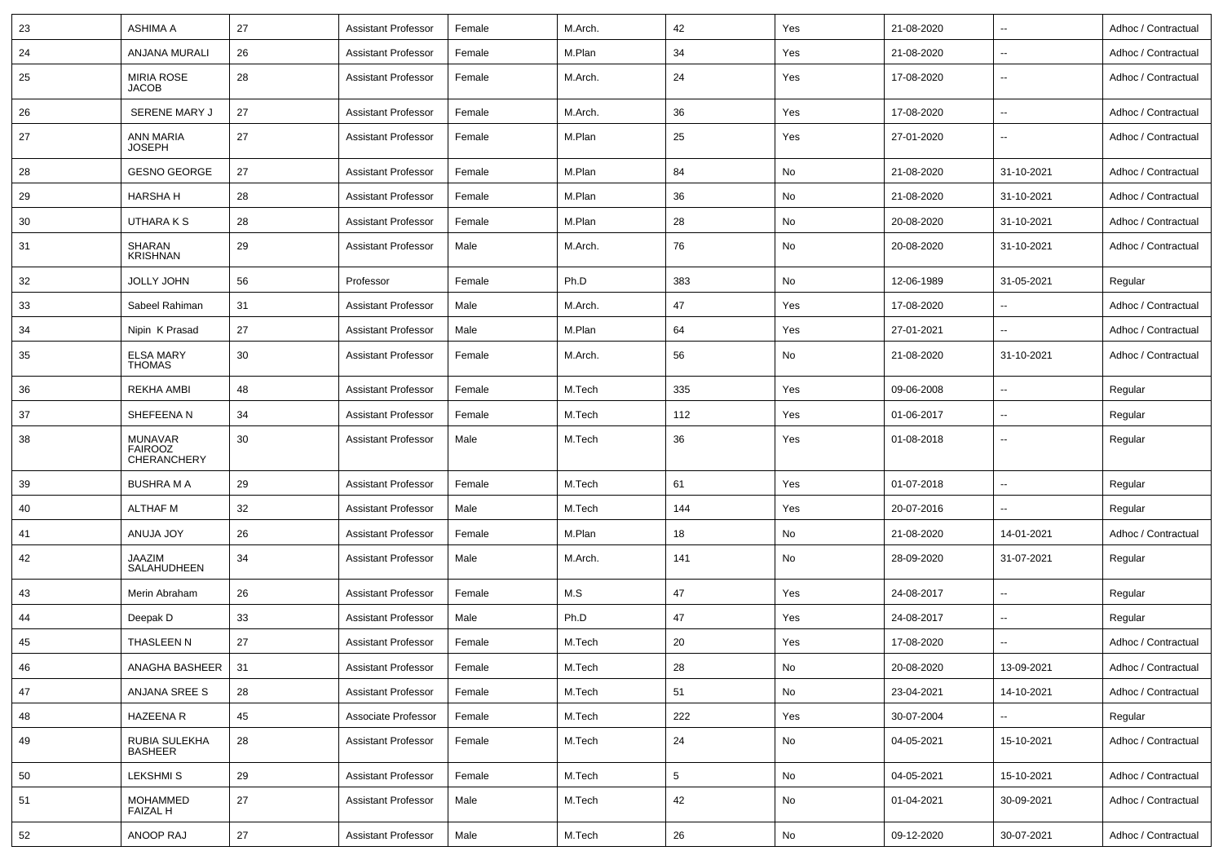| 23 | <b>ASHIMA A</b>                                 | 27 | <b>Assistant Professor</b> | Female | M.Arch. | 42              | Yes | 21-08-2020 | ц.                       | Adhoc / Contractual |
|----|-------------------------------------------------|----|----------------------------|--------|---------|-----------------|-----|------------|--------------------------|---------------------|
| 24 | ANJANA MURALI                                   | 26 | Assistant Professor        | Female | M.Plan  | 34              | Yes | 21-08-2020 | $\overline{\phantom{a}}$ | Adhoc / Contractual |
| 25 | <b>MIRIA ROSE</b><br><b>JACOB</b>               | 28 | <b>Assistant Professor</b> | Female | M.Arch. | 24              | Yes | 17-08-2020 | $\overline{\phantom{a}}$ | Adhoc / Contractual |
| 26 | SERENE MARY J                                   | 27 | <b>Assistant Professor</b> | Female | M.Arch. | 36              | Yes | 17-08-2020 | --                       | Adhoc / Contractual |
| 27 | ANN MARIA<br><b>JOSEPH</b>                      | 27 | <b>Assistant Professor</b> | Female | M.Plan  | 25              | Yes | 27-01-2020 | --                       | Adhoc / Contractual |
| 28 | <b>GESNO GEORGE</b>                             | 27 | <b>Assistant Professor</b> | Female | M.Plan  | 84              | No  | 21-08-2020 | 31-10-2021               | Adhoc / Contractual |
| 29 | <b>HARSHA H</b>                                 | 28 | <b>Assistant Professor</b> | Female | M.Plan  | 36              | No  | 21-08-2020 | 31-10-2021               | Adhoc / Contractual |
| 30 | UTHARA K S                                      | 28 | <b>Assistant Professor</b> | Female | M.Plan  | 28              | No  | 20-08-2020 | 31-10-2021               | Adhoc / Contractual |
| 31 | SHARAN<br><b>KRISHNAN</b>                       | 29 | <b>Assistant Professor</b> | Male   | M.Arch. | 76              | No  | 20-08-2020 | 31-10-2021               | Adhoc / Contractual |
| 32 | <b>JOLLY JOHN</b>                               | 56 | Professor                  | Female | Ph.D    | 383             | No  | 12-06-1989 | 31-05-2021               | Regular             |
| 33 | Sabeel Rahiman                                  | 31 | Assistant Professor        | Male   | M.Arch. | 47              | Yes | 17-08-2020 |                          | Adhoc / Contractual |
| 34 | Nipin K Prasad                                  | 27 | <b>Assistant Professor</b> | Male   | M.Plan  | 64              | Yes | 27-01-2021 | Ξ.                       | Adhoc / Contractual |
| 35 | <b>ELSA MARY</b><br><b>THOMAS</b>               | 30 | <b>Assistant Professor</b> | Female | M.Arch. | 56              | No  | 21-08-2020 | 31-10-2021               | Adhoc / Contractual |
| 36 | REKHA AMBI                                      | 48 | <b>Assistant Professor</b> | Female | M.Tech  | 335             | Yes | 09-06-2008 | $\overline{\phantom{a}}$ | Regular             |
| 37 | SHEFEENA N                                      | 34 | <b>Assistant Professor</b> | Female | M.Tech  | 112             | Yes | 01-06-2017 | $\overline{\phantom{a}}$ | Regular             |
| 38 | <b>MUNAVAR</b><br><b>FAIROOZ</b><br>CHERANCHERY | 30 | <b>Assistant Professor</b> | Male   | M.Tech  | 36              | Yes | 01-08-2018 | --                       | Regular             |
| 39 | <b>BUSHRA M A</b>                               | 29 | <b>Assistant Professor</b> | Female | M.Tech  | 61              | Yes | 01-07-2018 | $\overline{\phantom{a}}$ | Regular             |
| 40 | <b>ALTHAF M</b>                                 | 32 | <b>Assistant Professor</b> | Male   | M.Tech  | 144             | Yes | 20-07-2016 |                          | Regular             |
| 41 | <b>ANUJA JOY</b>                                | 26 | <b>Assistant Professor</b> | Female | M.Plan  | 18              | No  | 21-08-2020 | 14-01-2021               | Adhoc / Contractual |
| 42 | <b>JAAZIM</b><br>SALAHUDHEEN                    | 34 | <b>Assistant Professor</b> | Male   | M.Arch. | 141             | No  | 28-09-2020 | 31-07-2021               | Regular             |
| 43 | Merin Abraham                                   | 26 | <b>Assistant Professor</b> | Female | M.S     | 47              | Yes | 24-08-2017 | $\overline{\phantom{a}}$ | Regular             |
| 44 | Deepak D                                        | 33 | <b>Assistant Professor</b> | Male   | Ph.D    | 47              | Yes | 24-08-2017 |                          | Regular             |
| 45 | THASLEEN N                                      | 27 | <b>Assistant Professor</b> | Female | M.Tech  | 20              | Yes | 17-08-2020 | Ξ.                       | Adhoc / Contractual |
| 46 | ANAGHA BASHEER   31                             |    | Assistant Professor        | Female | M.Tech  | 28              | No  | 20-08-2020 | 13-09-2021               | Adhoc / Contractual |
| 47 | ANJANA SREE S                                   | 28 | <b>Assistant Professor</b> | Female | M.Tech  | 51              | No  | 23-04-2021 | 14-10-2021               | Adhoc / Contractual |
| 48 | HAZEENA R                                       | 45 | Associate Professor        | Female | M.Tech  | 222             | Yes | 30-07-2004 |                          | Regular             |
| 49 | RUBIA SULEKHA<br><b>BASHEER</b>                 | 28 | <b>Assistant Professor</b> | Female | M.Tech  | 24              | No  | 04-05-2021 | 15-10-2021               | Adhoc / Contractual |
| 50 | <b>LEKSHMIS</b>                                 | 29 | <b>Assistant Professor</b> | Female | M.Tech  | $5\phantom{.0}$ | No  | 04-05-2021 | 15-10-2021               | Adhoc / Contractual |
| 51 | MOHAMMED<br>FAIZAL H                            | 27 | <b>Assistant Professor</b> | Male   | M.Tech  | 42              | No  | 01-04-2021 | 30-09-2021               | Adhoc / Contractual |
| 52 | ANOOP RAJ                                       | 27 | <b>Assistant Professor</b> | Male   | M.Tech  | 26              | No  | 09-12-2020 | 30-07-2021               | Adhoc / Contractual |